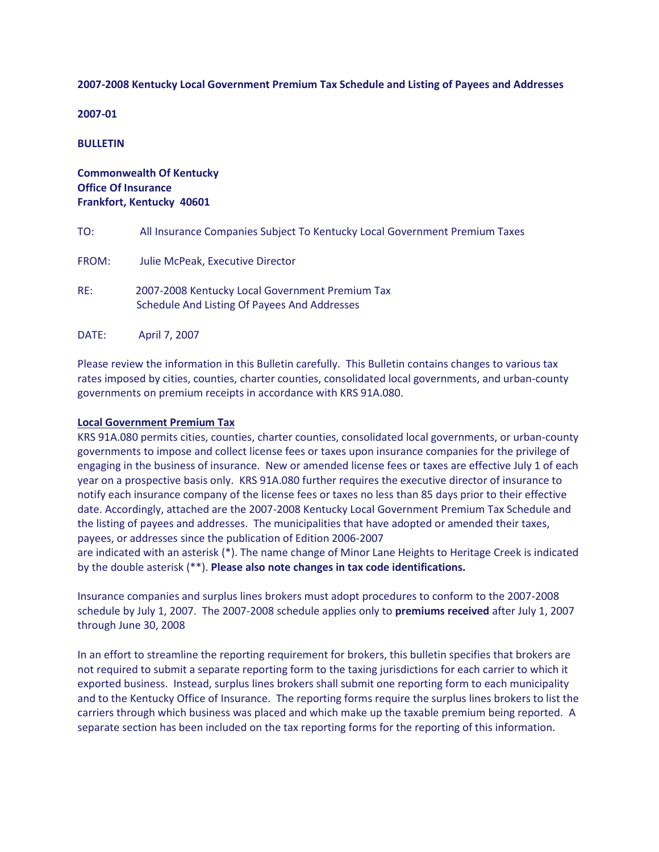## **2007-2008 Kentucky Local Government Premium Tax Schedule and Listing of Payees and Addresses**

**2007-01**

**BULLETIN**

# **Commonwealth Of Kentucky Office Of Insurance Frankfort, Kentucky 40601**

| TO:   | All Insurance Companies Subject To Kentucky Local Government Premium Taxes                      |
|-------|-------------------------------------------------------------------------------------------------|
| FROM: | Julie McPeak, Executive Director                                                                |
| RE:   | 2007-2008 Kentucky Local Government Premium Tax<br>Schedule And Listing Of Payees And Addresses |
| DATE: | April 7, 2007                                                                                   |

Please review the information in this Bulletin carefully. This Bulletin contains changes to various tax rates imposed by cities, counties, charter counties, consolidated local governments, and urban-county governments on premium receipts in accordance with KRS 91A.080.

## **Local Government Premium Tax**

KRS 91A.080 permits cities, counties, charter counties, consolidated local governments, or urban-county governments to impose and collect license fees or taxes upon insurance companies for the privilege of engaging in the business of insurance. New or amended license fees or taxes are effective July 1 of each year on a prospective basis only. KRS 91A.080 further requires the executive director of insurance to notify each insurance company of the license fees or taxes no less than 85 days prior to their effective date. Accordingly, attached are the 2007-2008 Kentucky Local Government Premium Tax Schedule and the listing of payees and addresses. The municipalities that have adopted or amended their taxes, payees, or addresses since the publication of Edition 2006-2007

are indicated with an asterisk (\*). The name change of Minor Lane Heights to Heritage Creek is indicated by the double asterisk (\*\*). **Please also note changes in tax code identifications.**

Insurance companies and surplus lines brokers must adopt procedures to conform to the 2007-2008 schedule by July 1, 2007. The 2007-2008 schedule applies only to **premiums received** after July 1, 2007 through June 30, 2008

In an effort to streamline the reporting requirement for brokers, this bulletin specifies that brokers are not required to submit a separate reporting form to the taxing jurisdictions for each carrier to which it exported business. Instead, surplus lines brokers shall submit one reporting form to each municipality and to the Kentucky Office of Insurance. The reporting forms require the surplus lines brokers to list the carriers through which business was placed and which make up the taxable premium being reported. A separate section has been included on the tax reporting forms for the reporting of this information.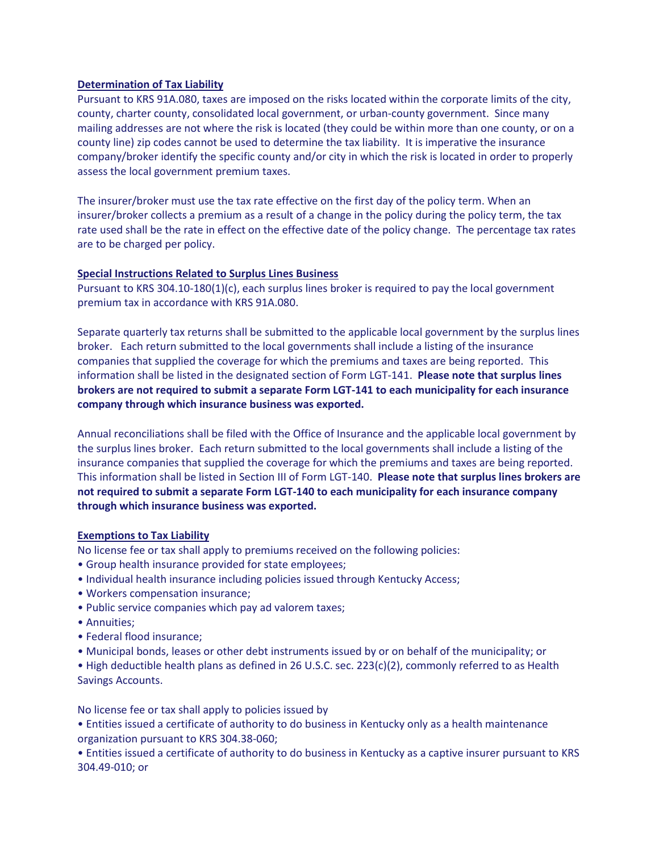# **Determination of Tax Liability**

Pursuant to KRS 91A.080, taxes are imposed on the risks located within the corporate limits of the city, county, charter county, consolidated local government, or urban-county government. Since many mailing addresses are not where the risk is located (they could be within more than one county, or on a county line) zip codes cannot be used to determine the tax liability. It is imperative the insurance company/broker identify the specific county and/or city in which the risk is located in order to properly assess the local government premium taxes.

The insurer/broker must use the tax rate effective on the first day of the policy term. When an insurer/broker collects a premium as a result of a change in the policy during the policy term, the tax rate used shall be the rate in effect on the effective date of the policy change. The percentage tax rates are to be charged per policy.

## **Special Instructions Related to Surplus Lines Business**

Pursuant to KRS 304.10-180(1)(c), each surplus lines broker is required to pay the local government premium tax in accordance with KRS 91A.080.

Separate quarterly tax returns shall be submitted to the applicable local government by the surplus lines broker. Each return submitted to the local governments shall include a listing of the insurance companies that supplied the coverage for which the premiums and taxes are being reported. This information shall be listed in the designated section of Form LGT-141. **Please note that surplus lines brokers are not required to submit a separate Form LGT-141 to each municipality for each insurance company through which insurance business was exported.**

Annual reconciliations shall be filed with the Office of Insurance and the applicable local government by the surplus lines broker. Each return submitted to the local governments shall include a listing of the insurance companies that supplied the coverage for which the premiums and taxes are being reported. This information shall be listed in Section III of Form LGT-140. **Please note that surplus lines brokers are not required to submit a separate Form LGT-140 to each municipality for each insurance company through which insurance business was exported.**

## **Exemptions to Tax Liability**

No license fee or tax shall apply to premiums received on the following policies:

- Group health insurance provided for state employees;
- Individual health insurance including policies issued through Kentucky Access;
- Workers compensation insurance;
- Public service companies which pay ad valorem taxes;
- Annuities;
- Federal flood insurance;
- Municipal bonds, leases or other debt instruments issued by or on behalf of the municipality; or

• High deductible health plans as defined in 26 U.S.C. sec. 223(c)(2), commonly referred to as Health Savings Accounts.

No license fee or tax shall apply to policies issued by

• Entities issued a certificate of authority to do business in Kentucky only as a health maintenance organization pursuant to KRS 304.38-060;

• Entities issued a certificate of authority to do business in Kentucky as a captive insurer pursuant to KRS 304.49-010; or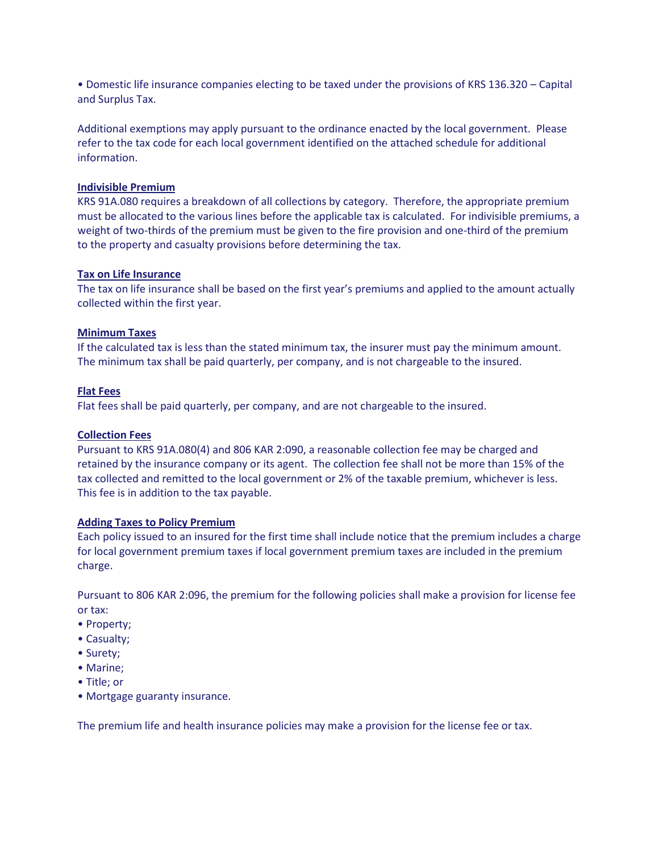• Domestic life insurance companies electing to be taxed under the provisions of KRS 136.320 – Capital and Surplus Tax.

Additional exemptions may apply pursuant to the ordinance enacted by the local government. Please refer to the tax code for each local government identified on the attached schedule for additional information.

## **Indivisible Premium**

KRS 91A.080 requires a breakdown of all collections by category. Therefore, the appropriate premium must be allocated to the various lines before the applicable tax is calculated. For indivisible premiums, a weight of two-thirds of the premium must be given to the fire provision and one-third of the premium to the property and casualty provisions before determining the tax.

# **Tax on Life Insurance**

The tax on life insurance shall be based on the first year's premiums and applied to the amount actually collected within the first year.

# **Minimum Taxes**

If the calculated tax is less than the stated minimum tax, the insurer must pay the minimum amount. The minimum tax shall be paid quarterly, per company, and is not chargeable to the insured.

# **Flat Fees**

Flat fees shall be paid quarterly, per company, and are not chargeable to the insured.

## **Collection Fees**

Pursuant to KRS 91A.080(4) and 806 KAR 2:090, a reasonable collection fee may be charged and retained by the insurance company or its agent. The collection fee shall not be more than 15% of the tax collected and remitted to the local government or 2% of the taxable premium, whichever is less. This fee is in addition to the tax payable.

## **Adding Taxes to Policy Premium**

Each policy issued to an insured for the first time shall include notice that the premium includes a charge for local government premium taxes if local government premium taxes are included in the premium charge.

Pursuant to 806 KAR 2:096, the premium for the following policies shall make a provision for license fee or tax:

- Property;
- Casualty;
- Surety;
- Marine;
- Title; or
- Mortgage guaranty insurance.

The premium life and health insurance policies may make a provision for the license fee or tax.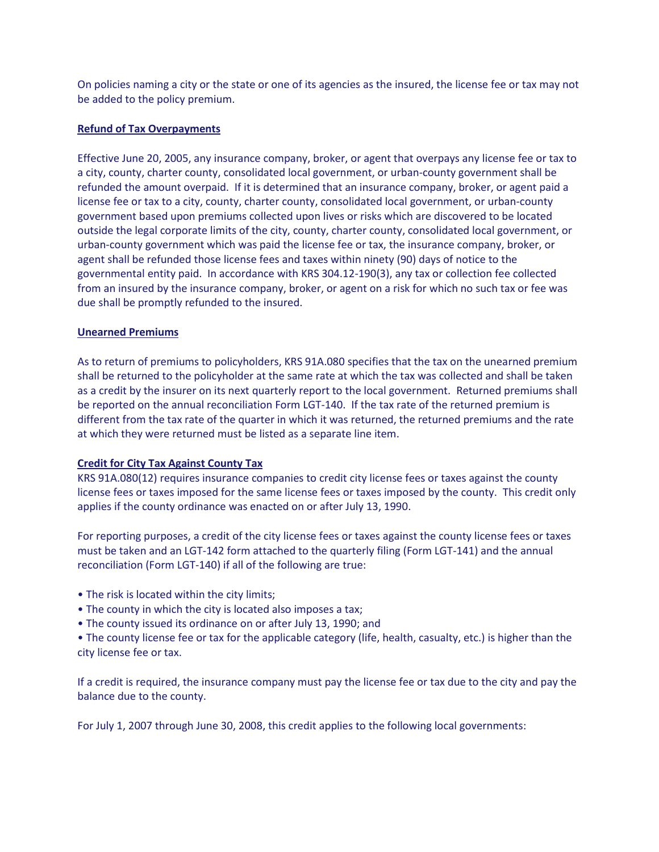On policies naming a city or the state or one of its agencies as the insured, the license fee or tax may not be added to the policy premium.

## **Refund of Tax Overpayments**

Effective June 20, 2005, any insurance company, broker, or agent that overpays any license fee or tax to a city, county, charter county, consolidated local government, or urban-county government shall be refunded the amount overpaid. If it is determined that an insurance company, broker, or agent paid a license fee or tax to a city, county, charter county, consolidated local government, or urban-county government based upon premiums collected upon lives or risks which are discovered to be located outside the legal corporate limits of the city, county, charter county, consolidated local government, or urban-county government which was paid the license fee or tax, the insurance company, broker, or agent shall be refunded those license fees and taxes within ninety (90) days of notice to the governmental entity paid. In accordance with KRS 304.12-190(3), any tax or collection fee collected from an insured by the insurance company, broker, or agent on a risk for which no such tax or fee was due shall be promptly refunded to the insured.

# **Unearned Premiums**

As to return of premiums to policyholders, KRS 91A.080 specifies that the tax on the unearned premium shall be returned to the policyholder at the same rate at which the tax was collected and shall be taken as a credit by the insurer on its next quarterly report to the local government. Returned premiums shall be reported on the annual reconciliation Form LGT-140. If the tax rate of the returned premium is different from the tax rate of the quarter in which it was returned, the returned premiums and the rate at which they were returned must be listed as a separate line item.

# **Credit for City Tax Against County Tax**

KRS 91A.080(12) requires insurance companies to credit city license fees or taxes against the county license fees or taxes imposed for the same license fees or taxes imposed by the county. This credit only applies if the county ordinance was enacted on or after July 13, 1990.

For reporting purposes, a credit of the city license fees or taxes against the county license fees or taxes must be taken and an LGT-142 form attached to the quarterly filing (Form LGT-141) and the annual reconciliation (Form LGT-140) if all of the following are true:

- The risk is located within the city limits;
- The county in which the city is located also imposes a tax;
- The county issued its ordinance on or after July 13, 1990; and
- The county license fee or tax for the applicable category (life, health, casualty, etc.) is higher than the city license fee or tax.

If a credit is required, the insurance company must pay the license fee or tax due to the city and pay the balance due to the county.

For July 1, 2007 through June 30, 2008, this credit applies to the following local governments: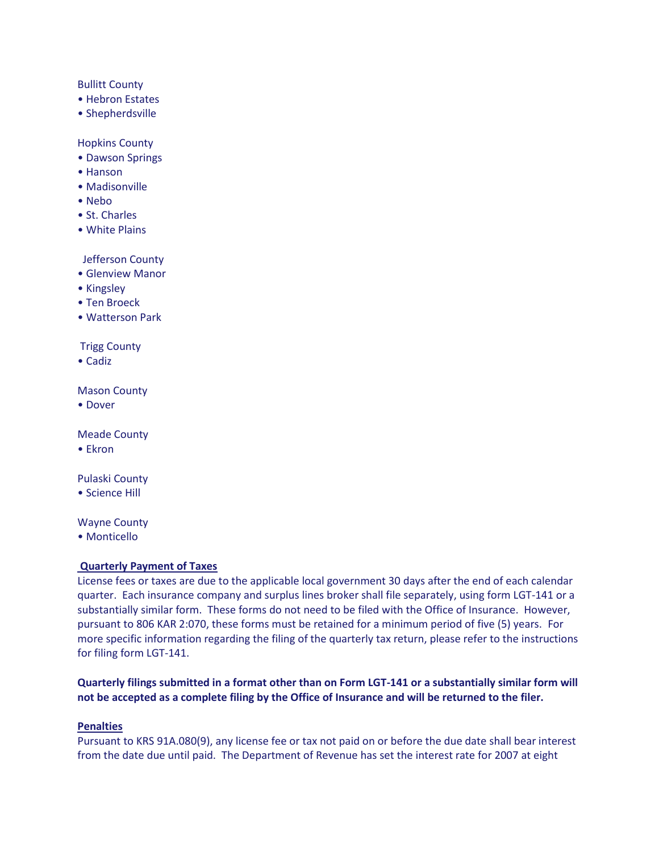## Bullitt County

- Hebron Estates
- Shepherdsville

#### Hopkins County

- Dawson Springs
- Hanson
- Madisonville
- Nebo
- St. Charles
- White Plains

# Jefferson County

- Glenview Manor
- Kingsley
- Ten Broeck
- Watterson Park

# Trigg County

• Cadiz

Mason County

• Dover

Meade County

• Ekron

Pulaski County

• Science Hill

Wayne County

• Monticello

# **Quarterly Payment of Taxes**

License fees or taxes are due to the applicable local government 30 days after the end of each calendar quarter. Each insurance company and surplus lines broker shall file separately, using form LGT-141 or a substantially similar form. These forms do not need to be filed with the Office of Insurance. However, pursuant to 806 KAR 2:070, these forms must be retained for a minimum period of five (5) years. For more specific information regarding the filing of the quarterly tax return, please refer to the instructions for filing form LGT-141.

**Quarterly filings submitted in a format other than on Form LGT-141 or a substantially similar form will not be accepted as a complete filing by the Office of Insurance and will be returned to the filer.**

## **Penalties**

Pursuant to KRS 91A.080(9), any license fee or tax not paid on or before the due date shall bear interest from the date due until paid. The Department of Revenue has set the interest rate for 2007 at eight